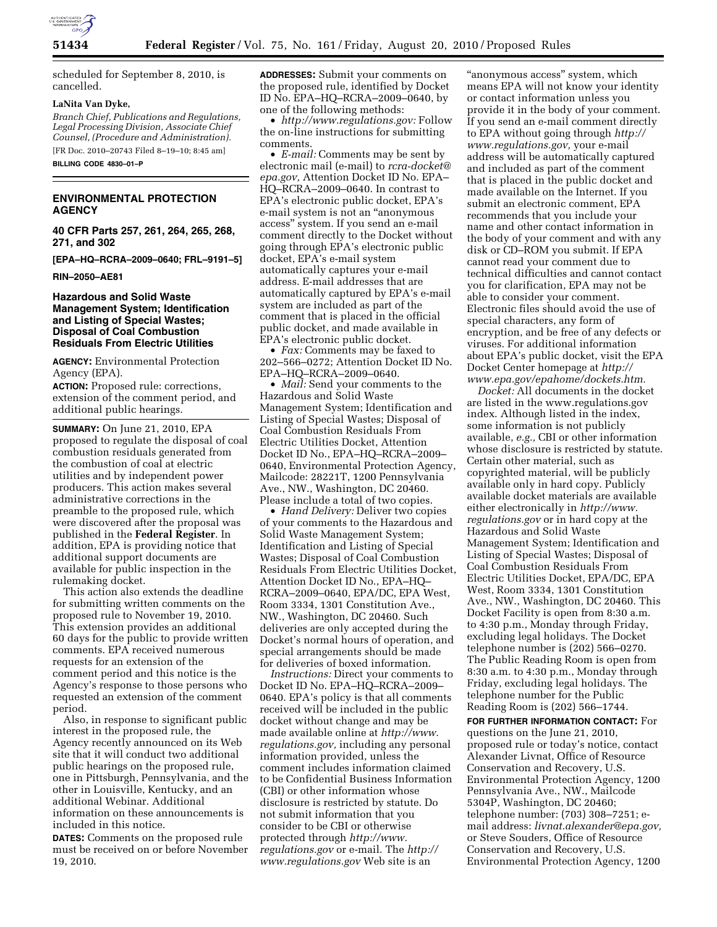

scheduled for September 8, 2010, is cancelled.

#### **LaNita Van Dyke,**

*Branch Chief, Publications and Regulations, Legal Processing Division, Associate Chief Counsel, (Procedure and Administration).*  [FR Doc. 2010–20743 Filed 8–19–10; 8:45 am]

**BILLING CODE 4830–01–P** 

# **ENVIRONMENTAL PROTECTION AGENCY**

**40 CFR Parts 257, 261, 264, 265, 268, 271, and 302** 

**[EPA–HQ–RCRA–2009–0640; FRL–9191–5]** 

**RIN–2050–AE81** 

# **Hazardous and Solid Waste Management System; Identification and Listing of Special Wastes; Disposal of Coal Combustion Residuals From Electric Utilities**

**AGENCY:** Environmental Protection Agency (EPA).

**ACTION:** Proposed rule: corrections, extension of the comment period, and additional public hearings.

**SUMMARY:** On June 21, 2010, EPA proposed to regulate the disposal of coal combustion residuals generated from the combustion of coal at electric utilities and by independent power producers. This action makes several administrative corrections in the preamble to the proposed rule, which were discovered after the proposal was published in the **Federal Register**. In addition, EPA is providing notice that additional support documents are available for public inspection in the rulemaking docket.

This action also extends the deadline for submitting written comments on the proposed rule to November 19, 2010. This extension provides an additional 60 days for the public to provide written comments. EPA received numerous requests for an extension of the comment period and this notice is the Agency's response to those persons who requested an extension of the comment period.

Also, in response to significant public interest in the proposed rule, the Agency recently announced on its Web site that it will conduct two additional public hearings on the proposed rule, one in Pittsburgh, Pennsylvania, and the other in Louisville, Kentucky, and an additional Webinar. Additional information on these announcements is included in this notice.

**DATES:** Comments on the proposed rule must be received on or before November 19, 2010.

**ADDRESSES:** Submit your comments on the proposed rule, identified by Docket ID No. EPA–HQ–RCRA–2009–0640, by one of the following methods:

• *[http://www.regulations.gov:](http://www.regulations.gov)* Follow the on-line instructions for submitting comments.

• *E-mail:* Comments may be sent by electronic mail (e-mail) to *[rcra-docket@](mailto:rcra-docket@epa.gov) [epa.gov,](mailto:rcra-docket@epa.gov)* Attention Docket ID No. EPA– HQ–RCRA–2009–0640. In contrast to EPA's electronic public docket, EPA's e-mail system is not an ''anonymous access'' system. If you send an e-mail comment directly to the Docket without going through EPA's electronic public docket, EPA's e-mail system automatically captures your e-mail address. E-mail addresses that are automatically captured by EPA's e-mail system are included as part of the comment that is placed in the official public docket, and made available in EPA's electronic public docket.

• *Fax:* Comments may be faxed to 202–566–0272; Attention Docket ID No. EPA–HQ–RCRA–2009–0640.

• *Mail:* Send your comments to the Hazardous and Solid Waste Management System; Identification and Listing of Special Wastes; Disposal of Coal Combustion Residuals From Electric Utilities Docket, Attention Docket ID No., EPA–HQ–RCRA–2009– 0640, Environmental Protection Agency, Mailcode: 28221T, 1200 Pennsylvania Ave., NW., Washington, DC 20460. Please include a total of two copies.

• *Hand Delivery:* Deliver two copies of your comments to the Hazardous and Solid Waste Management System; Identification and Listing of Special Wastes; Disposal of Coal Combustion Residuals From Electric Utilities Docket, Attention Docket ID No., EPA–HQ– RCRA–2009–0640, EPA/DC, EPA West, Room 3334, 1301 Constitution Ave., NW., Washington, DC 20460. Such deliveries are only accepted during the Docket's normal hours of operation, and special arrangements should be made for deliveries of boxed information.

*Instructions:* Direct your comments to Docket ID No. EPA–HQ–RCRA–2009– 0640. EPA's policy is that all comments received will be included in the public docket without change and may be made available online at *[http://www.](http://www.regulations.gov) [regulations.gov,](http://www.regulations.gov)* including any personal information provided, unless the comment includes information claimed to be Confidential Business Information (CBI) or other information whose disclosure is restricted by statute. Do not submit information that you consider to be CBI or otherwise protected through *[http://www.](http://www.regulations.gov) [regulations.gov](http://www.regulations.gov)* or e-mail. The *[http://](http://www.regulations.gov) [www.regulations.gov](http://www.regulations.gov)* Web site is an

''anonymous access'' system, which means EPA will not know your identity or contact information unless you provide it in the body of your comment. If you send an e-mail comment directly to EPA without going through *[http://](http://www.regulations.gov) [www.regulations.gov,](http://www.regulations.gov)* your e-mail address will be automatically captured and included as part of the comment that is placed in the public docket and made available on the Internet. If you submit an electronic comment, EPA recommends that you include your name and other contact information in the body of your comment and with any disk or CD–ROM you submit. If EPA cannot read your comment due to technical difficulties and cannot contact you for clarification, EPA may not be able to consider your comment. Electronic files should avoid the use of special characters, any form of encryption, and be free of any defects or viruses. For additional information about EPA's public docket, visit the EPA Docket Center homepage at *[http://](http://www.epa.gov/epahome/dockets.htm) [www.epa.gov/epahome/dockets.htm.](http://www.epa.gov/epahome/dockets.htm)* 

*Docket:* All documents in the docket are listed in the [www.regulations.gov](http://www.regulations.gov)  index. Although listed in the index, some information is not publicly available, *e.g.,* CBI or other information whose disclosure is restricted by statute. Certain other material, such as copyrighted material, will be publicly available only in hard copy. Publicly available docket materials are available either electronically in *[http://www.](http://www.regulations.gov) [regulations.gov](http://www.regulations.gov)* or in hard copy at the Hazardous and Solid Waste Management System; Identification and Listing of Special Wastes; Disposal of Coal Combustion Residuals From Electric Utilities Docket, EPA/DC, EPA West, Room 3334, 1301 Constitution Ave., NW., Washington, DC 20460. This Docket Facility is open from 8:30 a.m. to 4:30 p.m., Monday through Friday, excluding legal holidays. The Docket telephone number is (202) 566–0270. The Public Reading Room is open from 8:30 a.m. to 4:30 p.m., Monday through Friday, excluding legal holidays. The telephone number for the Public Reading Room is (202) 566–1744.

**FOR FURTHER INFORMATION CONTACT:** For questions on the June 21, 2010, proposed rule or today's notice, contact Alexander Livnat, Office of Resource Conservation and Recovery, U.S. Environmental Protection Agency, 1200 Pennsylvania Ave., NW., Mailcode 5304P, Washington, DC 20460; telephone number: (703) 308–7251; email address: *[livnat.alexander@epa.gov,](mailto:livnat.alexander@epa.gov)*  or Steve Souders, Office of Resource Conservation and Recovery, U.S. Environmental Protection Agency, 1200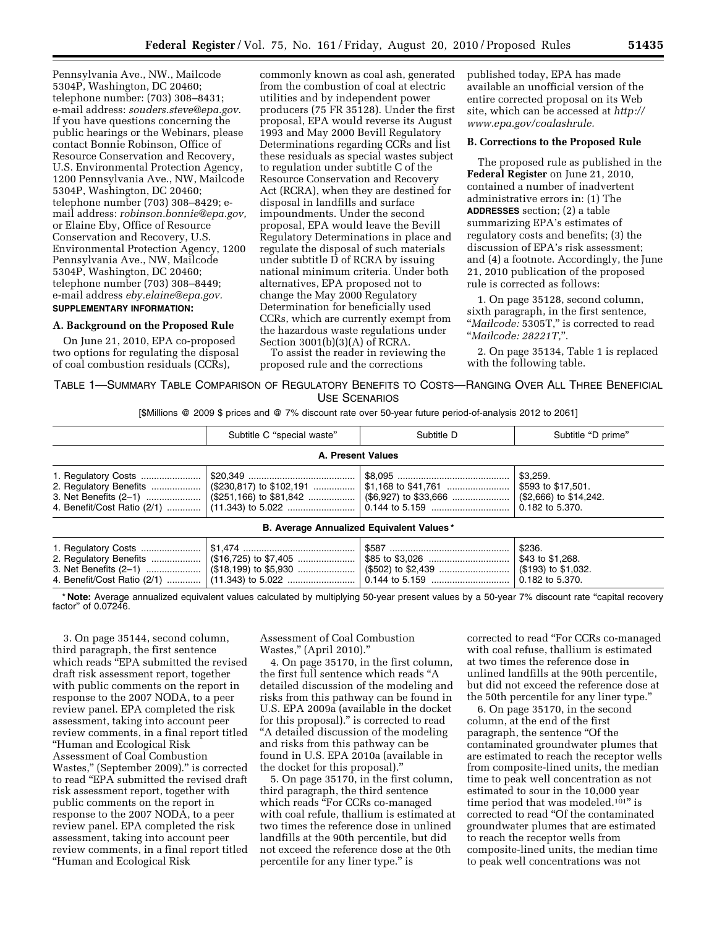Pennsylvania Ave., NW., Mailcode 5304P, Washington, DC 20460; telephone number: (703) 308–8431; e-mail address: *[souders.steve@epa.gov.](mailto:souders.steve@epa.gov)*  If you have questions concerning the public hearings or the Webinars, please contact Bonnie Robinson, Office of Resource Conservation and Recovery, U.S. Environmental Protection Agency, 1200 Pennsylvania Ave., NW, Mailcode 5304P, Washington, DC 20460; telephone number (703) 308–8429; email address: *[robinson.bonnie@epa.gov,](mailto:robinson.bonnie@epa.gov)*  or Elaine Eby, Office of Resource Conservation and Recovery, U.S. Environmental Protection Agency, 1200 Pennsylvania Ave., NW, Mailcode 5304P, Washington, DC 20460; telephone number (703) 308–8449; e-mail address *[eby.elaine@epa.gov.](mailto:eby.elaine@epa.gov)*  **SUPPLEMENTARY INFORMATION:** 

# **A. Background on the Proposed Rule**

On June 21, 2010, EPA co-proposed two options for regulating the disposal of coal combustion residuals (CCRs),

commonly known as coal ash, generated from the combustion of coal at electric utilities and by independent power producers (75 FR 35128). Under the first proposal, EPA would reverse its August 1993 and May 2000 Bevill Regulatory Determinations regarding CCRs and list these residuals as special wastes subject to regulation under subtitle C of the Resource Conservation and Recovery Act (RCRA), when they are destined for disposal in landfills and surface impoundments. Under the second proposal, EPA would leave the Bevill Regulatory Determinations in place and regulate the disposal of such materials under subtitle D of RCRA by issuing national minimum criteria. Under both alternatives, EPA proposed not to change the May 2000 Regulatory Determination for beneficially used CCRs, which are currently exempt from the hazardous waste regulations under Section 3001(b)(3)(A) of RCRA.

To assist the reader in reviewing the proposed rule and the corrections

published today, EPA has made available an unofficial version of the entire corrected proposal on its Web site, which can be accessed at *[http://](http://www.epa.gov/coalashrule)  [www.epa.gov/coalashrule.](http://www.epa.gov/coalashrule)* 

# **B. Corrections to the Proposed Rule**

The proposed rule as published in the **Federal Register** on June 21, 2010, contained a number of inadvertent administrative errors in: (1) The **ADDRESSES** section; (2) a table summarizing EPA's estimates of regulatory costs and benefits; (3) the discussion of EPA's risk assessment; and (4) a footnote. Accordingly, the June 21, 2010 publication of the proposed rule is corrected as follows:

1. On page 35128, second column, sixth paragraph, in the first sentence, "*Mailcode:* 5305T," is corrected to read ''*Mailcode: 28221T,*''.

2. On page 35134, Table 1 is replaced with the following table.

TABLE 1—SUMMARY TABLE COMPARISON OF REGULATORY BENEFITS TO COSTS—RANGING OVER ALL THREE BENEFICIAL USE SCENARIOS

[\$Millions @ 2009 \$ prices and @ 7% discount rate over 50-year future period-of-analysis 2012 to 2061]

|                   | Subtitle C "special waste" | Subtitle D                                                                                | Subtitle "D prime" |  |  |
|-------------------|----------------------------|-------------------------------------------------------------------------------------------|--------------------|--|--|
| A. Present Values |                            |                                                                                           |                    |  |  |
|                   |                            | 2. Regulatory Benefits  (\$230,817) to \$102,191  \$1,168 to \$41,761  \$593 to \$17,501. |                    |  |  |

#### **B. Average Annualized Equivalent Values \***

| 3. Net Benefits (2–1) $\ldots$ $($ \$18,199) to \$5,930 $\ldots$ $($ \$502) to \$2,439 $\ldots$ $($ \$1300 $($ \$1,032. |  |  |
|-------------------------------------------------------------------------------------------------------------------------|--|--|
|                                                                                                                         |  |  |

\* **Note:** Average annualized equivalent values calculated by multiplying 50-year present values by a 50-year 7% discount rate ''capital recovery factor'' of 0.07246.

3. On page 35144, second column, third paragraph, the first sentence which reads "EPA submitted the revised draft risk assessment report, together with public comments on the report in response to the 2007 NODA, to a peer review panel. EPA completed the risk assessment, taking into account peer review comments, in a final report titled ''Human and Ecological Risk Assessment of Coal Combustion Wastes,'' (September 2009).'' is corrected to read ''EPA submitted the revised draft risk assessment report, together with public comments on the report in response to the 2007 NODA, to a peer review panel. EPA completed the risk assessment, taking into account peer review comments, in a final report titled ''Human and Ecological Risk

Assessment of Coal Combustion Wastes,'' (April 2010).''

4. On page 35170, in the first column, the first full sentence which reads ''A detailed discussion of the modeling and risks from this pathway can be found in U.S. EPA 2009a (available in the docket for this proposal).'' is corrected to read ''A detailed discussion of the modeling and risks from this pathway can be found in U.S. EPA 2010a (available in the docket for this proposal).''

5. On page 35170, in the first column, third paragraph, the third sentence which reads "For CCRs co-managed with coal refule, thallium is estimated at two times the reference dose in unlined landfills at the 90th percentile, but did not exceed the reference dose at the 0th percentile for any liner type.'' is

corrected to read ''For CCRs co-managed with coal refuse, thallium is estimated at two times the reference dose in unlined landfills at the 90th percentile, but did not exceed the reference dose at the 50th percentile for any liner type.''

6. On page 35170, in the second column, at the end of the first paragraph, the sentence ''Of the contaminated groundwater plumes that are estimated to reach the receptor wells from composite-lined units, the median time to peak well concentration as not estimated to sour in the 10,000 year time period that was modeled.<sup>101"</sup> is corrected to read ''Of the contaminated groundwater plumes that are estimated to reach the receptor wells from composite-lined units, the median time to peak well concentrations was not